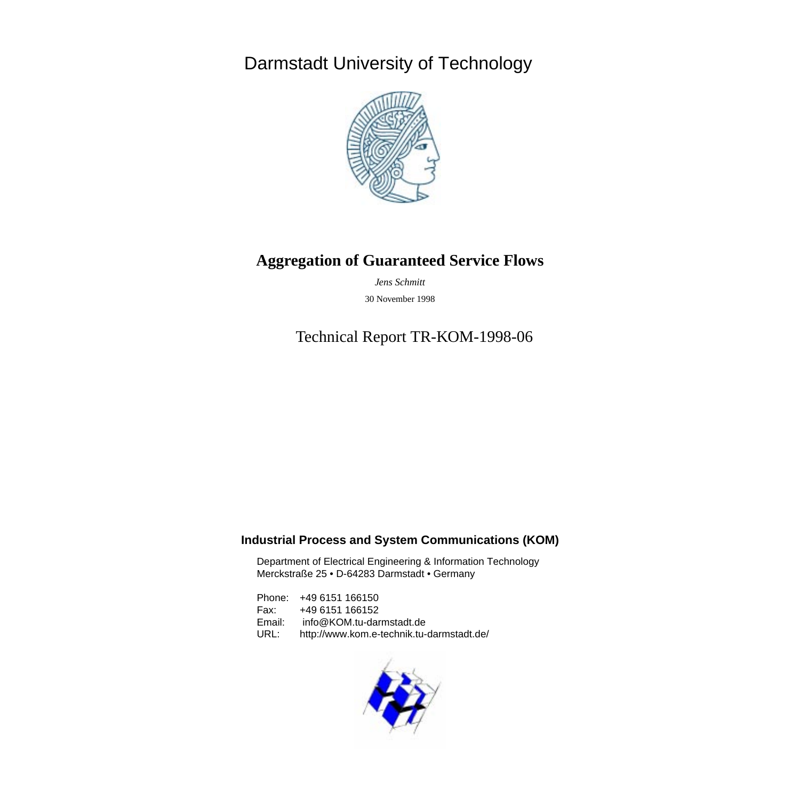Darmstadt University of Technology



# **[Aggregation of Guaranteed Service Flows](#page-1-0)**

*Jens Schmitt* 30 November 1998

# Technical Report TR-KOM-1998-06

## **Industrial Process and System Communications (KOM)**

Department of Electrical Engineering & Information Technology Merckstraße 25 • D-64283 Darmstadt • Germany

Phone: +49 6151 166150 Fax: +49 6151 166152 Email: info@KOM.tu-darmstadt.de URL: http://www.kom.e-technik.tu-darmstadt.de/

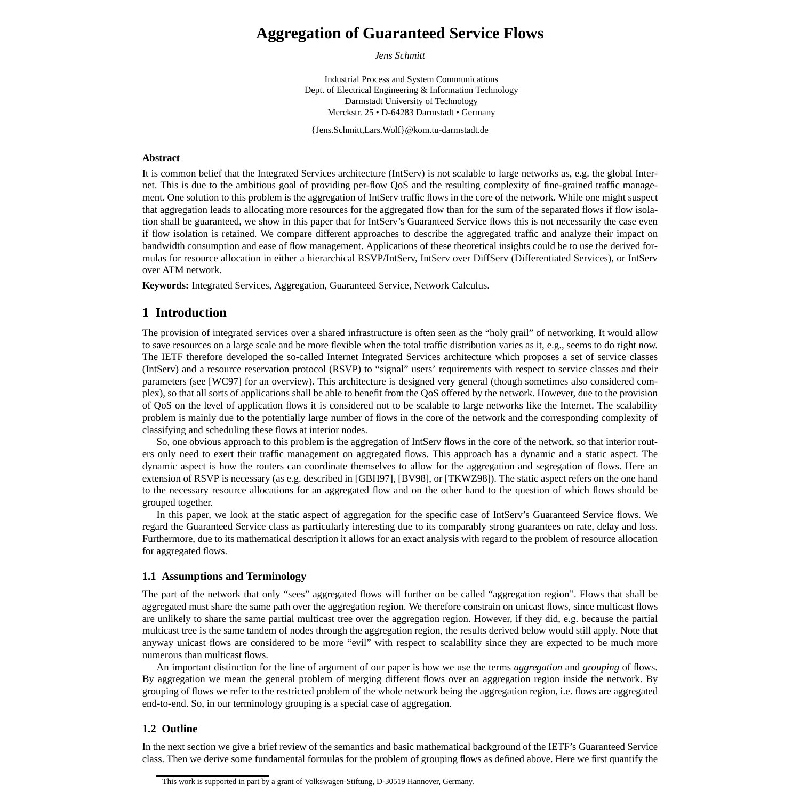# <span id="page-1-0"></span>**Aggregation of Guaranteed Service Flows**

*Jens Schmitt*

Industrial Process and System Communications Dept. of Electrical Engineering & Information Technology Darmstadt University of Technology Merckstr. 25 • D-64283 Darmstadt • Germany

{Jens.Schmitt,Lars.Wolf}@kom.tu-darmstadt.de

#### **Abstract**

It is common belief that the Integrated Services architecture (IntServ) is not scalable to large networks as, e.g. the global Internet. This is due to the ambitious goal of providing per-flow QoS and the resulting complexity of fine-grained traffic management. One solution to this problem is the aggregation of IntServ traffic flows in the core of the network. While one might suspect that aggregation leads to allocating more resources for the aggregated flow than for the sum of the separated flows if flow isolation shall be guaranteed, we show in this paper that for IntServ's Guaranteed Service flows this is not necessarily the case even if flow isolation is retained. We compare different approaches to describe the aggregated traffic and analyze their impact on bandwidth consumption and ease of flow management. Applications of these theoretical insights could be to use the derived formulas for resource allocation in either a hierarchical RSVP/IntServ, IntServ over DiffServ (Differentiated Services), or IntServ over ATM network.

**Keywords:** Integrated Services, Aggregation, Guaranteed Service, Network Calculus.

### **1 Introduction**

The provision of integrated services over a shared infrastructure is often seen as the "holy grail" of networking. It would allow to save resources on a large scale and be more flexible when the total traffic distribution varies as it, e.g., seems to do right now. The IETF therefore developed the so-called Internet Integrated Services architecture which proposes a set of service classes (IntServ) and a resource reservation protocol (RSVP) to "signal" users' requirements with respect to service classes and their parameters (see [WC97] for an overview). This architecture is designed very general (though sometimes also considered complex), so that all sorts of applications shall be able to benefit from the QoS offered by the network. However, due to the provision of QoS on the level of application flows it is considered not to be scalable to large networks like the Internet. The scalability problem is mainly due to the potentially large number of flows in the core of the network and the corresponding complexity of classifying and scheduling these flows at interior nodes.

So, one obvious approach to this problem is the aggregation of IntServ flows in the core of the network, so that interior routers only need to exert their traffic management on aggregated flows. This approach has a dynamic and a static aspect. The dynamic aspect is how the routers can coordinate themselves to allow for the aggregation and segregation of flows. Here an extension of RSVP is necessary (as e.g. described in [GBH97], [BV98], or [TKWZ98]). The static aspect refers on the one hand to the necessary resource allocations for an aggregated flow and on the other hand to the question of which flows should be grouped together.

In this paper, we look at the static aspect of aggregation for the specific case of IntServ's Guaranteed Service flows. We regard the Guaranteed Service class as particularly interesting due to its comparably strong guarantees on rate, delay and loss. Furthermore, due to its mathematical description it allows for an exact analysis with regard to the problem of resource allocation for aggregated flows.

#### **1.1 Assumptions and Terminology**

The part of the network that only "sees" aggregated flows will further on be called "aggregation region". Flows that shall be aggregated must share the same path over the aggregation region. We therefore constrain on unicast flows, since multicast flows are unlikely to share the same partial multicast tree over the aggregation region. However, if they did, e.g. because the partial multicast tree is the same tandem of nodes through the aggregation region, the results derived below would still apply. Note that anyway unicast flows are considered to be more "evil" with respect to scalability since they are expected to be much more numerous than multicast flows.

An important distinction for the line of argument of our paper is how we use the terms *aggregation* and *grouping* of flows. By aggregation we mean the general problem of merging different flows over an aggregation region inside the network. By grouping of flows we refer to the restricted problem of the whole network being the aggregation region, i.e. flows are aggregated end-to-end. So, in our terminology grouping is a special case of aggregation.

#### **1.2 Outline**

In the next section we give a brief review of the semantics and basic mathematical background of the IETF's Guaranteed Service class. Then we derive some fundamental formulas for the problem of grouping flows as defined above. Here we first quantify the

This work is supported in part by a grant of Volkswagen-Stiftung, D-30519 Hannover, Germany.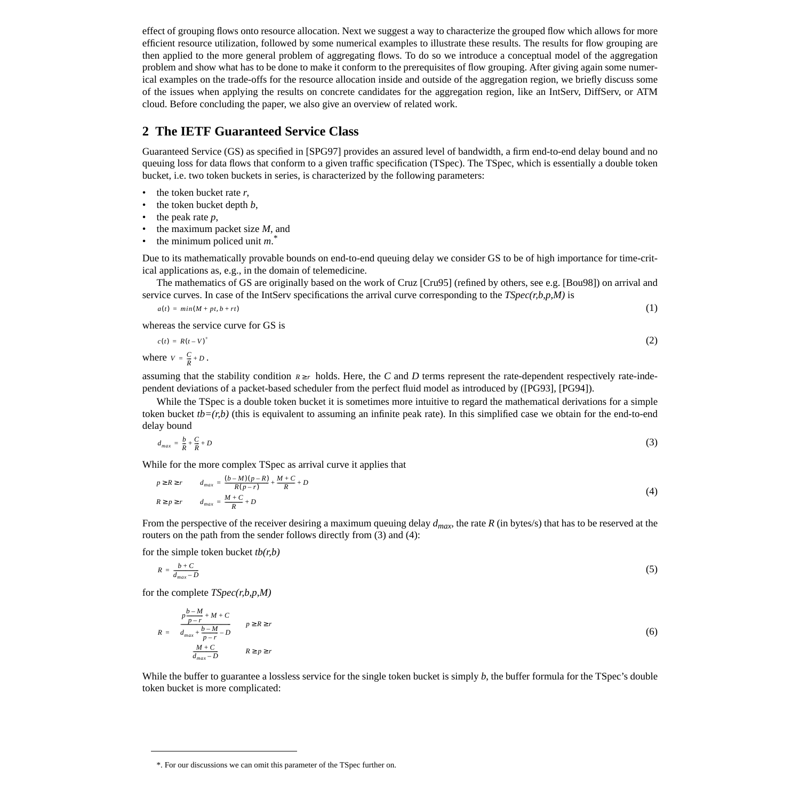effect of grouping flows onto resource allocation. Next we suggest a way to characterize the grouped flow which allows for more efficient resource utilization, followed by some numerical examples to illustrate these results. The results for flow grouping are then applied to the more general problem of aggregating flows. To do so we introduce a conceptual model of the aggregation problem and show what has to be done to make it conform to the prerequisites of flow grouping. After giving again some numerical examples on the trade-offs for the resource allocation inside and outside of the aggregation region, we briefly discuss some of the issues when applying the results on concrete candidates for the aggregation region, like an IntServ, DiffServ, or ATM cloud. Before concluding the paper, we also give an overview of related work.

### **2 The IETF Guaranteed Service Class**

Guaranteed Service (GS) as specified in [SPG97] provides an assured level of bandwidth, a firm end-to-end delay bound and no queuing loss for data flows that conform to a given traffic specification (TSpec). The TSpec, which is essentially a double token bucket, i.e. two token buckets in series, is characterized by the following parameters:

- the token bucket rate *r*,
- the token bucket depth *b*,
- the peak rate *p*,
- the maximum packet size  $M$ , and
- $\bullet$  the minimum policed unit  $m$ <sup>\*</sup>

Due to its mathematically provable bounds on end-to-end queuing delay we consider GS to be of high importance for time-critical applications as, e.g., in the domain of telemedicine.

The mathematics of GS are originally based on the work of Cruz [Cru95] (refined by others, see e.g. [Bou98]) on arrival and service curves. In case of the IntServ specifications the arrival curve corresponding to the *TSpec(r,b,p,M)* is

$$
a(t) = min(M + pt, b + rt)
$$
 (1)

whereas the service curve for GS is

$$
c(t) = R(t - V)^{+}
$$
  
(2)  
where  $V = \frac{C}{R} + D$ .

assuming that the stability condition  $R \ge r$  holds. Here, the *C* and *D* terms represent the rate-dependent respectively rate-independent deviations of a packet-based scheduler from the perfect fluid model as introduced by ([PG93], [PG94]).

While the TSpec is a double token bucket it is sometimes more intuitive to regard the mathematical derivations for a simple token bucket  $tb=(r,b)$  (this is equivalent to assuming an infinite peak rate). In this simplified case we obtain for the end-to-end delay bound

$$
d_{max} = \frac{b}{R} + \frac{C}{R} + D \tag{3}
$$

While for the more complex TSpec as arrival curve it applies that

$$
p \ge R \ge r \qquad d_{max} = \frac{(b - M)(p - R)}{R(p - r)} + \frac{M + C}{R} + D
$$
  

$$
R \ge p \ge r \qquad d_{max} = \frac{M + C}{R} + D
$$
 (4)

From the perspective of the receiver desiring a maximum queuing delay  $d_{max}$ , the rate *R* (in bytes/s) that has to be reserved at the routers on the path from the sender follows directly from (3) and (4):

for the simple token bucket *tb(r,b)*

$$
R = \frac{b + C}{d_{max} - D} \tag{5}
$$

for the complete *TSpec(r,b,p,M)*

$$
R = \begin{cases} p\frac{p-M}{p-r} + M + C & p \ge R \ge r\\ \frac{d_{max} + \frac{b-M}{p-r} - D}{\frac{M+C}{d_{max}-D}} & p \ge R \ge r \end{cases} \tag{6}
$$

While the buffer to guarantee a lossless service for the single token bucket is simply *b*, the buffer formula for the TSpec's double token bucket is more complicated:

<sup>\*.</sup> For our discussions we can omit this parameter of the TSpec further on.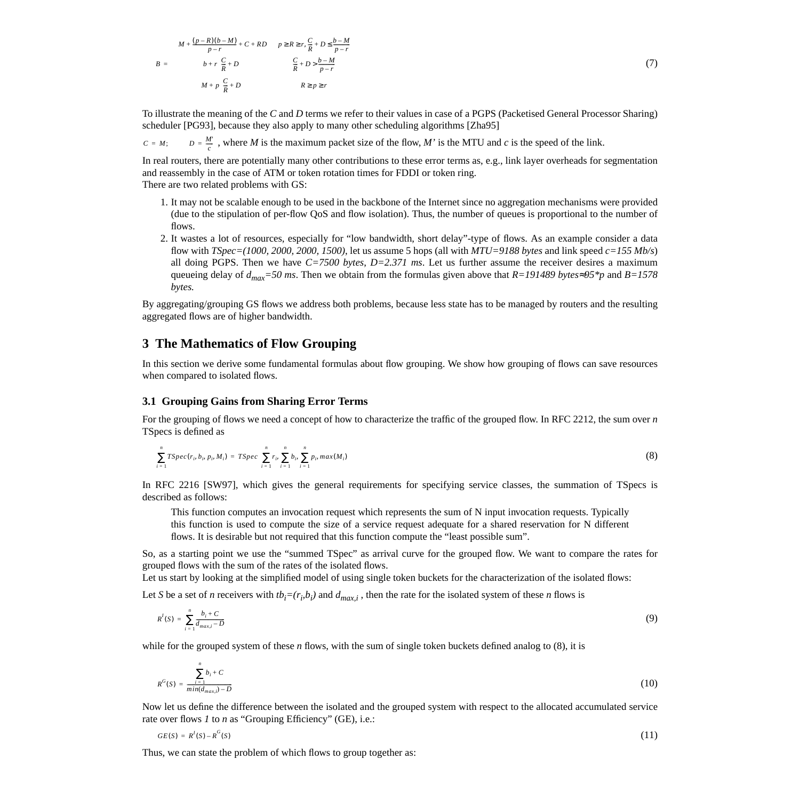<span id="page-3-0"></span>
$$
B = \begin{cases} M + \frac{(p - R)(b - M)}{p - r} + C + RD & p \ge R \ge r, \frac{C}{R} + D \le \frac{b - M}{p - r} \\ b + r\left(\frac{C}{R} + D\right) & \frac{C}{R} + D > \frac{b - M}{p - r} \\ M + p\left(\frac{C}{R} + D\right) & R \ge p \ge r \end{cases} \tag{7}
$$

To illustrate the meaning of the *C* and *D* terms we refer to their values in case of a PGPS (Packetised General Processor Sharing) scheduler [PG93], because they also apply to many other scheduling algorithms [Zha95]

 $c = M$ ;  $D = \frac{M'}{c}$ , where *M* is the maximum packet size of the flow, *M*' is the MTU and *c* is the speed of the link.

In real routers, there are potentially many other contributions to these error terms as, e.g., link layer overheads for segmentation and reassembly in the case of ATM or token rotation times for FDDI or token ring. There are two related problems with GS:

- 1. It may not be scalable enough to be used in the backbone of the Internet since no aggregation mechanisms were provided (due to the stipulation of per-flow QoS and flow isolation). Thus, the number of queues is proportional to the number of flows.
- 2. It wastes a lot of resources, especially for "low bandwidth, short delay"-type of flows. As an example consider a data flow with *TSpec=(1000, 2000, 2000, 1500)*, let us assume 5 hops (all with *MTU=9188 bytes* and link speed *c=155 Mb/s*) all doing PGPS. Then we have *C=7500 bytes*, *D=2.371 ms*. Let us further assume the receiver desires a maximum queueing delay of *dmax=50 ms*. Then we obtain from the formulas given above that *R=191489 bytes*≈*95\*p* and *B=1578 bytes.*

By aggregating/grouping GS flows we address both problems, because less state has to be managed by routers and the resulting aggregated flows are of higher bandwidth.

### **3 The Mathematics of Flow Grouping**

In this section we derive some fundamental formulas about flow grouping. We show how grouping of flows can save resources when compared to isolated flows.

#### **3.1 Grouping Gains from Sharing Error Terms**

For the grouping of flows we need a concept of how to characterize the traffic of the grouped flow. In RFC 2212, the sum over *n* TSpecs is defined as

$$
\sum_{i=1}^{n} TSpec(r_i, b_i, p_i, M_i) = TSpec\left(\sum_{i=1}^{n} r_i, \sum_{i=1}^{n} b_i, \sum_{i=1}^{n} p_i max(M_i)\right)
$$
(8)

In RFC 2216 [SW97], which gives the general requirements for specifying service classes, the summation of TSpecs is described as follows:

This function computes an invocation request which represents the sum of N input invocation requests. Typically this function is used to compute the size of a service request adequate for a shared reservation for N different flows. It is desirable but not required that this function compute the "least possible sum".

So, as a starting point we use the "summed TSpec" as arrival curve for the grouped flow. We want to compare the rates for grouped flows with the sum of the rates of the isolated flows.

Let us start by looking at the simplified model of using single token buckets for the characterization of the isolated flows:

Let *S* be a set of *n* receivers with  $tb_i = (r_i, b_i)$  and  $d_{max,i}$ , then the rate for the isolated system of these *n* flows is

$$
R^{I}(S) = \sum_{i=1}^{n} \frac{b_{i} + C}{d_{max,i} - D}
$$
(9)

while for the grouped system of these *n* flows, with the sum of single token buckets defined analog to (8), it is

$$
R^{G}(S) = \frac{\sum_{i=1}^{n} b_i + C}{\min(d_{max,i}) - D}
$$
(10)

Now let us define the difference between the isolated and the grouped system with respect to the allocated accumulated service rate over flows *1* to *n* as "Grouping Efficiency" (GE), i.e.:

$$
GE(S) = R^I(S) - R^G(S) \tag{11}
$$

Thus, we can state the problem of which flows to group together as: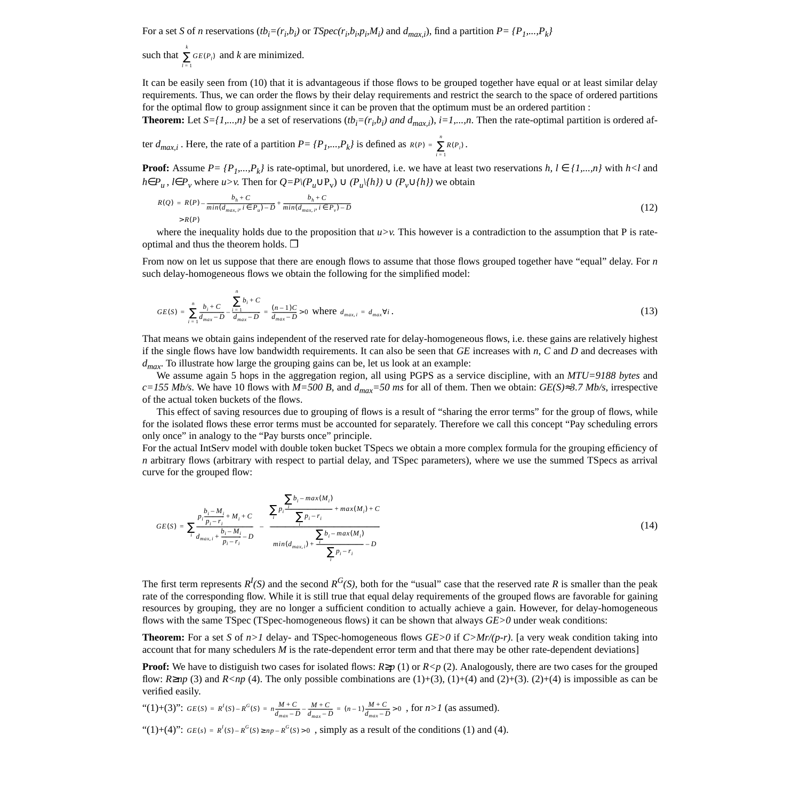For a set *S* of *n* reservations  $(tb_i = (r_i, b_i)$  or  $TSpec(r_i, b_i, p_i, M_i)$  and  $d_{max,i}$ , find a partition  $P = \{P_1, ..., P_k\}$ 

such that  $\sum_{l=1}$  *GE(P<sub>l</sub>*) and *k* are minimized. *k* ∑

It can be easily seen from [\(10\)](#page-3-0) that it is advantageous if those flows to be grouped together have equal or at least similar delay requirements. Thus, we can order the flows by their delay requirements and restrict the search to the space of ordered partitions for the optimal flow to group assignment since it can be proven that the optimum must be an ordered partition :

**Theorem:** Let  $S = \{1, ..., n\}$  be a set of reservations  $(tb_i = (r_i, b_i)$  and  $d_{max,i}$ ,  $i = 1, ..., n$ . Then the rate-optimal partition is ordered af-

ter  $d_{max,i}$ . Here, the rate of a partition  $P = \{P_1, ..., P_k\}$  is defined as  $R(P) = \sum_{i=1}^{R(P_i)} R(P_i)$ . *n* <sup>=</sup> ∑

**Proof:** Assume  $P = \{P_1, ..., P_k\}$  is rate-optimal, but unordered, i.e. we have at least two reservations  $h, l \in \{1, ..., n\}$  with  $h < l$  and *h*∈*P<sub>u</sub>*, *l*∈*P<sub>v</sub>* where *u>v*. Then for  $Q = P \setminus (P_u \cup P_v) \cup (P_u \setminus \{h\}) \cup (P_v \cup \{h\})$  we obtain

$$
R(Q) = R(P) - \frac{b_h + C}{\min(d_{\max, p} i \in P_u) - D} + \frac{b_h + C}{\min(d_{\max, p} i \in P_v) - D}
$$
  
> R(P) (12)

where the inequality holds due to the proposition that  $u > v$ . This however is a contradiction to the assumption that P is rateoptimal and thus the theorem holds.  $\Box$ 

From now on let us suppose that there are enough flows to assume that those flows grouped together have "equal" delay. For *n* such delay-homogeneous flows we obtain the following for the simplified model:

$$
GE(S) = \sum_{i=1}^{n} \frac{b_i + C}{d_{max} - D} - \frac{\sum_{i=1}^{n} b_i + C}{d_{max} - D} = \frac{(n-1)C}{d_{max} - D} > 0 \text{ where } d_{max, i} = d_{max} \forall i.
$$
 (13)

That means we obtain gains independent of the reserved rate for delay-homogeneous flows, i.e. these gains are relatively highest if the single flows have low bandwidth requirements. It can also be seen that *GE* increases with *n*, *C* and *D* and decreases with *dmax*. To illustrate how large the grouping gains can be, let us look at an example:

We assume again 5 hops in the aggregation region, all using PGPS as a service discipline, with an *MTU=9188 bytes* and *c=155 Mb/s*. We have 10 flows with *M=500 B*, and *dmax=50 ms* for all of them. Then we obtain: *GE(S)*≈*3.7 Mb/s*, irrespective of the actual token buckets of the flows.

This effect of saving resources due to grouping of flows is a result of "sharing the error terms" for the group of flows, while for the isolated flows these error terms must be accounted for separately. Therefore we call this concept "Pay scheduling errors only once" in analogy to the "Pay bursts once" principle.

For the actual IntServ model with double token bucket TSpecs we obtain a more complex formula for the grouping efficiency of *n* arbitrary flows (arbitrary with respect to partial delay, and TSpec parameters), where we use the summed TSpecs as arrival curve for the grouped flow:

$$
GE(S) = \sum_{i} \frac{p_i \frac{b_i - M_i}{p_i - r_i} + M_i + C}{d_{max,i} + \frac{b_i - M_i}{p_i - r_i} - D} - \frac{\frac{\sum_{i} p_i - max(M_i)}{\sum_{i} p_i - r_i} + max(M_i) + C}{\frac{\sum_{i} p_i - max(M_i)}{\sum_{i} p_i - max(M_i)} - D}
$$
(14)

The first term represents  $R^I(S)$  and the second  $R^G(S)$ , both for the "usual" case that the reserved rate R is smaller than the peak rate of the corresponding flow. While it is still true that equal delay requirements of the grouped flows are favorable for gaining resources by grouping, they are no longer a sufficient condition to actually achieve a gain. However, for delay-homogeneous flows with the same TSpec (TSpec-homogeneous flows) it can be shown that always *GE>0* under weak conditions:

**Theorem:** For a set *S* of *n>1* delay- and TSpec-homogeneous flows *GE>0* if *C>Mr/(p-r)*. [a very weak condition taking into account that for many schedulers  $M$  is the rate-dependent error term and that there may be other rate-dependent deviations]

**Proof:** We have to distiguish two cases for isolated flows: *R≥p* (1) or *R<p* (2). Analogously, there are two cases for the grouped flow:  $R \ge np$  (3) and  $R < np$  (4). The only possible combinations are (1)+(3), (1)+(4) and (2)+(3). (2)+(4) is impossible as can be verified easily.

"\$(1)+(3)": 
$$
GE(S) = R^l(S) - R^G(S) = n \frac{M+C}{d_{max}-D} - \frac{M+C}{d_{max}-D} = (n-1) \frac{M+C}{d_{max}-D} > 0
$$
, for  $n > l$  (as assumed).

"(1)+(4)":  $GE(s) = R^I(S) - R^G(S) \geq np - R^G(S) > 0$ , simply as a result of the conditions (1) and (4).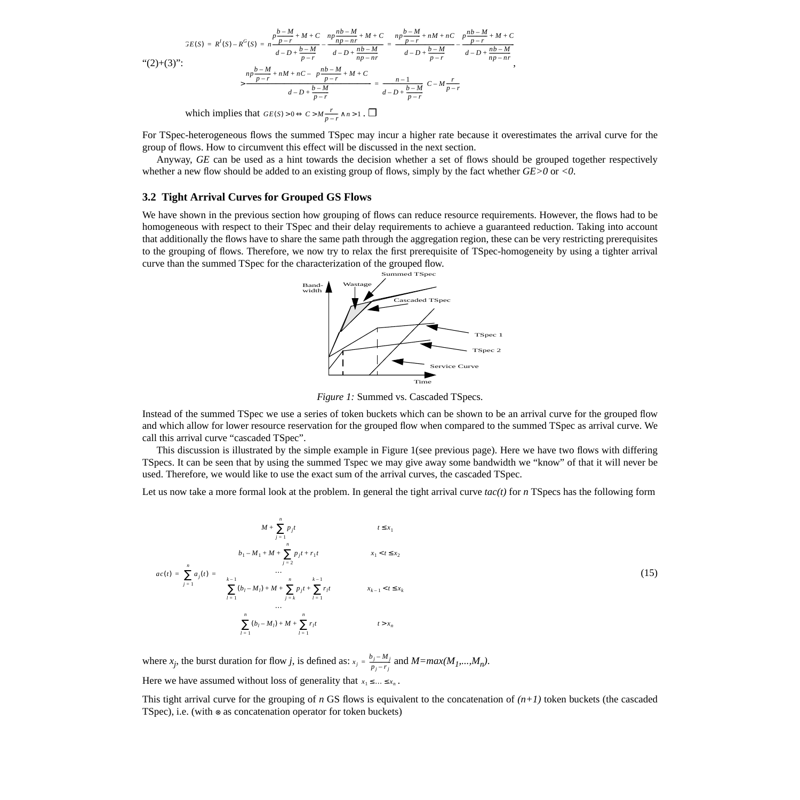$$
\begin{aligned} \n\Im E(S) &= R^I(S) - R^G(S) = n \frac{p \frac{b - M}{p - r} + M + C}{d - D + \frac{b - M}{p - r}} - \frac{n p \frac{nb - M}{n p - n r} + M + C}{d - D + \frac{nb - M}{n p - n r}} &= \frac{n p \frac{b - M}{p - r} + n M + n C}{d - D + \frac{b - M}{p - r}} - \frac{p \frac{nb - M}{p - r} + M + C}{d - D + \frac{nb - M}{n p - n r}} \\ \n&\times \frac{n p \frac{b - M}{p - r} + n M + n C - \left(p \frac{nb - M}{p - r} + M + C\right)}{d - D + \frac{b - M}{p - r}} &= \frac{n - 1}{d - D + \frac{b - M}{p - r}} \left( C - M \frac{r}{p - r} \right) \n\end{aligned}
$$

which implies that  $GE(S) > 0 \Leftrightarrow C > M \frac{r}{p-r} \wedge n > 1$ .

For TSpec-heterogeneous flows the summed TSpec may incur a higher rate because it overestimates the arrival curve for the group of flows. How to circumvent this effect will be discussed in the next section.

Anyway, *GE* can be used as a hint towards the decision whether a set of flows should be grouped together respectively whether a new flow should be added to an existing group of flows, simply by the fact whether *GE>0* or *<0*.

#### **3.2 Tight Arrival Curves for Grouped GS Flows**

 $\sqrt{ }$ 

We have shown in the previous section how grouping of flows can reduce resource requirements. However, the flows had to be homogeneous with respect to their TSpec and their delay requirements to achieve a guaranteed reduction. Taking into account that additionally the flows have to share the same path through the aggregation region, these can be very restricting prerequisites to the grouping of flows. Therefore, we now try to relax the first prerequisite of TSpec-homogeneity by using a tighter arrival curve than the summed TSpec for the characterization of the grouped flow.



*Figure 1:* Summed vs. Cascaded TSpecs.

Instead of the summed TSpec we use a series of token buckets which can be shown to be an arrival curve for the grouped flow and which allow for lower resource reservation for the grouped flow when compared to the summed TSpec as arrival curve. We call this arrival curve "cascaded TSpec".

This discussion is illustrated by the simple example in Figure 1(see previous page). Here we have two flows with differing TSpecs. It can be seen that by using the summed Tspec we may give away some bandwidth we "know" of that it will never be used. Therefore, we would like to use the exact sum of the arrival curves, the cascaded TSpec.

Let us now take a more formal look at the problem. In general the tight arrival curve *tac(t)* for *n* TSpecs has the following form

$$
ac(t) = \sum_{j=1}^{n} a_j(t) = \begin{cases} M + \sum_{j=1}^{n} p_j t & t \le x_1 \\ b_1 - M_1 + M + \sum_{j=2}^{n} p_j t + r_1 t & x_1 < t \le x_2 \\ \cdots & \cdots \\ \sum_{l=1}^{n} (b_l - M_l) + M + \sum_{j=k}^{n} p_j t + \sum_{l=1}^{k-1} r_l t & x_{k-1} < t \le x_k \\ \vdots & \cdots & \cdots \\ \sum_{l=1}^{n} (b_l - M_l) + M + \sum_{l=1}^{n} r_l t & t > x_n \end{cases}
$$
(15)

where  $x_j$ , the burst duration for flow *j*, is defined as:  $x_j = \frac{b_j - M_j}{p_j - r_j}$  and  $M = max(M_1, ..., M_n)$ . Here we have assumed without loss of generality that  $x_1 \leq ... \leq x_n$ .

This tight arrival curve for the grouping of *n* GS flows is equivalent to the concatenation of  $(n+1)$  token buckets (the cascaded TSpec), i.e. (with <sup>⊗</sup> as concatenation operator for token buckets)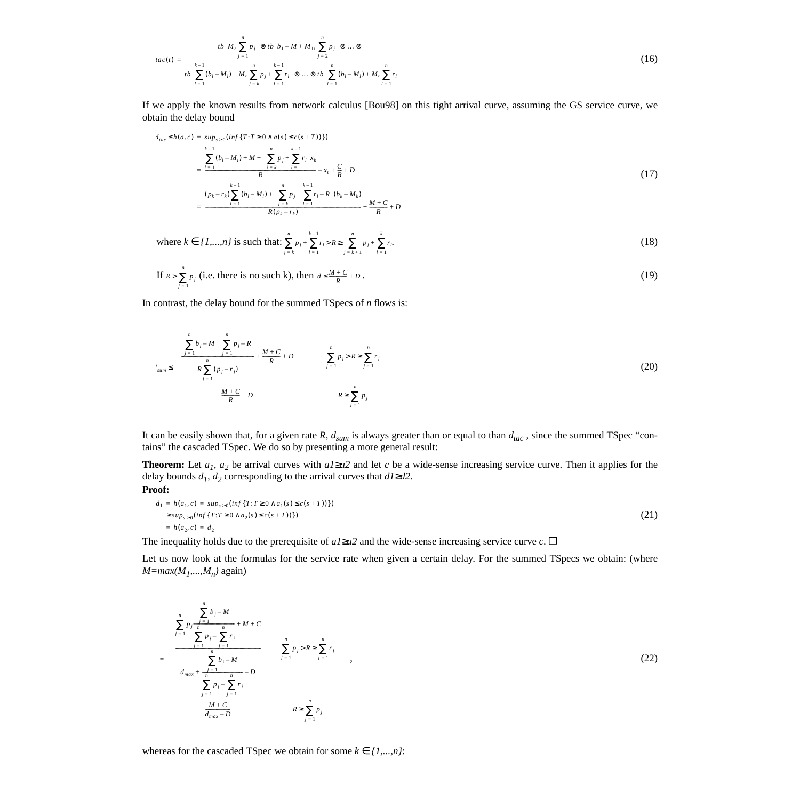$$
to \left(M, \sum_{j=1}^{n} p_j\right) \otimes tb \left(b_1 - M + M_1, \sum_{j=2}^{n} p_j\right) \otimes \dots \otimes
$$
  
\n
$$
to \left(\sum_{l=1}^{k-1} (b_l - M_l) + M, \sum_{j=k}^{n} p_j + \sum_{l=1}^{k-1} r_l\right) \otimes \dots \otimes tb \left(\sum_{l=1}^{n} (b_l - M_l) + M, \sum_{l=1}^{n} r_l\right)
$$
\n(16)

If we apply the known results from network calculus [Bou98] on this tight arrival curve, assuming the GS service curve, we obtain the delay bound

$$
d_{tac} \leq h(a, c) = \sup_{s \geq 0} \{ \inf \{ T : T \geq 0 \land a(s) \leq c(s + T) ) \} \}
$$
  
\n
$$
= \frac{\sum_{k=1}^{k-1} (b_i - M_i) + M + \left( \sum_{j=k}^{n} p_j + \sum_{l=1}^{k-1} r_l \right) x_k}{R} - x_k + \frac{C}{R} + D
$$
  
\n
$$
= \frac{(p_k - r_k) \sum_{l=1}^{k-1} (b_l - M_l) + \left( \sum_{j=k}^{n} p_j + \sum_{l=1}^{k-1} r_l - R \right) (b_k - M_k)}{R(p_k - r_k)} + \frac{M + C}{R} + D
$$
  
\n(17)

where  $k \in \{1, ..., n\}$  is such that:  $\sum_{i=k} p_i + \sum_{l=1} r_l > R \ge \sum_{j=k+1} p_j + \sum_{l=1} r_l$ . (18)  $\sum_{i=k}^{n} p_{j} + \sum_{l=1}^{k-1}$  $\sum_{j=k}^{n} p_j + \sum_{l=1}^{k-1} r_l > R \ge \sum_{j=k+1}^{n} p_j + \sum_{l=1}^{k} r_l$  $\sum_{j=k+1}^{n} p_j + \sum_{l=1}^{k}$  $> R \geq \sum_{n=1}^{n}$ 

If 
$$
R > \sum_{j=1}^{n} p_j
$$
 (i.e. there is no such k), then  $d \leq \frac{M+C}{R} + D$ .  $(19)$ 

In contrast, the delay bound for the summed TSpecs of *n* flows is:

$$
\sum_{sum\limits_{j=1}^{n} p_j > R \geq \sum_{j=1}^{n} p_j - R \binom{n}{j-1}} \frac{\left(\sum_{j=1}^{n} p_j - R\right)}{\left(R \sum_{j=1}^{n} (p_j - r_j)\right)} + \frac{M + C}{R} + D \qquad \sum_{j=1}^{n} p_j > R \geq \sum_{j=1}^{n} r_j
$$
\n
$$
\frac{M + C}{R} + D \qquad R \geq \sum_{j=1}^{n} p_j
$$
\n
$$
(20)
$$

It can be easily shown that, for a given rate *R*,  $d_{sum}$  is always greater than or equal to than  $d_{tar}$ , since the summed TSpec "contains" the cascaded TSpec. We do so by presenting a more general result:

**Theorem:** Let  $a_1$ ,  $a_2$  be arrival curves with  $a_1 \ge a_2$  and let *c* be a wide-sense increasing service curve. Then it applies for the delay bounds  $d_1$ ,  $d_2$  corresponding to the arrival curves that  $d1 \ge d2$ . **Proof:**

$$
d_1 = h(a_1, c) = \sup_{s \ge 0} (\inf \{ T : T \ge 0 \land a_1(s) \le c(s + T) ) \})
$$
  
\n
$$
\ge \sup_{s \ge 0} (\inf \{ T : T \ge 0 \land a_2(s) \le c(s + T) ) \})
$$
  
\n
$$
= h(a_2, c) = d_2
$$
\n(21)

The inequality holds due to the prerequisite of *a1*≥*a2* and the wide-sense increasing service curve *c*. ❒

Let us now look at the formulas for the service rate when given a certain delay. For the summed TSpecs we obtain: (where  $M = max(M_1,...,M_n)$  again)

$$
= \begin{cases}\n\sum_{j=1}^{n} b_{j} - M \\
\sum_{j=1}^{n} p_{j} - \sum_{j=1}^{n} r_{j} \\
\vdots \\
\sum_{j=1}^{n} b_{j} - M\n\end{cases} + M + C\n\begin{cases}\n\sum_{j=1}^{n} p_{j} - \sum_{j=1}^{n} r_{j} \\
\vdots \\
\sum_{j=1}^{n} b_{j} - M\n\end{cases}
$$
\n
$$
\sum_{j=1}^{n} p_{j} > R \geq \sum_{j=1}^{n} r_{j} \\
\sum_{j=1}^{n} p_{j} - \sum_{j=1}^{n} r_{j} \\
\frac{M + C}{d_{max} - D} > R \geq \sum_{j=1}^{n} p_{j}\n\end{cases}
$$
\n
$$
(22)
$$

whereas for the cascaded TSpec we obtain for some  $k \in \{1,...,n\}$ :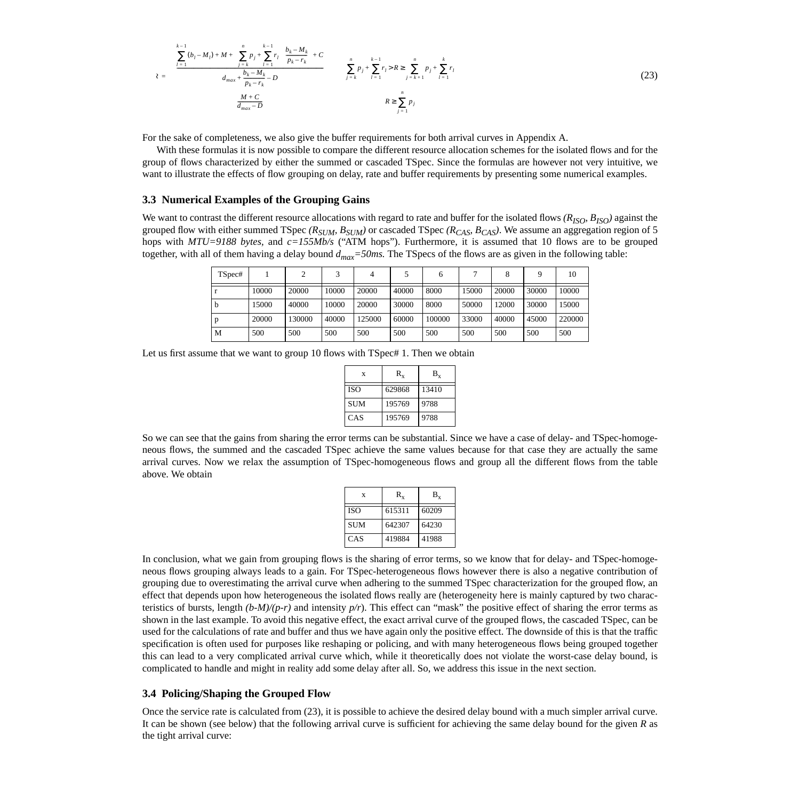<span id="page-7-0"></span>
$$
\ell = \begin{cases}\n\sum_{l=1}^{k-1} (b_l - M_l) + M + \left( \sum_{j=k}^{n} p_j + \sum_{l=1}^{k-1} r_l \right) \left( \frac{b_k - M_k}{p_k - r_k} \right) + C & n \\\n\sum_{j=k}^{n} p_j + \sum_{l=1}^{k-1} r_l > R \ge \sum_{j=k+1}^{n} p_j + \sum_{l=1}^{k} r_l \\
\frac{M + C}{d_{max} - D} & R \ge \sum_{j=1}^{n} p_j \\
\end{cases} \tag{23}
$$

For the sake of completeness, we also give the buffer requirements for both arrival curves in Appendix A.

With these formulas it is now possible to compare the different resource allocation schemes for the isolated flows and for the group of flows characterized by either the summed or cascaded TSpec. Since the formulas are however not very intuitive, we want to illustrate the effects of flow grouping on delay, rate and buffer requirements by presenting some numerical examples.

#### **3.3 Numerical Examples of the Grouping Gains**

 $\overline{1}$ 

We want to contrast the different resource allocations with regard to rate and buffer for the isolated flows  $(R_{ISO}, B_{ISO})$  against the grouped flow with either summed TSpec *(R<sub>SUM</sub>, B<sub>SUM</sub>)* or cascaded TSpec *(R<sub>CAS</sub>, B<sub>CAS</sub>)*. We assume an aggregation region of 5 hops with *MTU=9188 bytes,* and *c=155Mb/s* ("ATM hops"). Furthermore, it is assumed that 10 flows are to be grouped together, with all of them having a delay bound *dmax=50ms.* The TSpecs of the flows are as given in the following table:

| TSpec# |       | ◠      | $\overline{\mathbf{c}}$ | 4      |       | 6      |       |       | Q     | 10     |
|--------|-------|--------|-------------------------|--------|-------|--------|-------|-------|-------|--------|
|        | 10000 | 20000  | 10000                   | 20000  | 40000 | 8000   | 15000 | 20000 | 30000 | 10000  |
| b      | 15000 | 40000  | 10000                   | 20000  | 30000 | 8000   | 50000 | 12000 | 30000 | 15000  |
| p      | 20000 | 130000 | 40000                   | 125000 | 60000 | 100000 | 33000 | 40000 | 45000 | 220000 |
| M      | 500   | 500    | 500                     | 500    | 500   | 500    | 500   | 500   | 500   | 500    |

Let us first assume that we want to group 10 flows with TSpec# 1. Then we obtain

| x          | $R_{\rm v}$ | $B_{v}$ |
|------------|-------------|---------|
| <b>ISO</b> | 629868      | 13410   |
| <b>SUM</b> | 195769      | 9788    |
| CAS        | 195769      | 9788    |

So we can see that the gains from sharing the error terms can be substantial. Since we have a case of delay- and TSpec-homogeneous flows, the summed and the cascaded TSpec achieve the same values because for that case they are actually the same arrival curves. Now we relax the assumption of TSpec-homogeneous flows and group all the different flows from the table above. We obtain

| X          | $R_{\rm v}$ | $B_{v}$ |
|------------|-------------|---------|
| <b>ISO</b> | 615311      | 60209   |
| <b>SUM</b> | 642307      | 64230   |
| CAS        | 419884      | 41988   |

In conclusion, what we gain from grouping flows is the sharing of error terms, so we know that for delay- and TSpec-homogeneous flows grouping always leads to a gain. For TSpec-heterogeneous flows however there is also a negative contribution of grouping due to overestimating the arrival curve when adhering to the summed TSpec characterization for the grouped flow, an effect that depends upon how heterogeneous the isolated flows really are (heterogeneity here is mainly captured by two characteristics of bursts, length *(b-M)/(p-r)* and intensity *p/r*). This effect can "mask" the positive effect of sharing the error terms as shown in the last example. To avoid this negative effect, the exact arrival curve of the grouped flows, the cascaded TSpec, can be used for the calculations of rate and buffer and thus we have again only the positive effect. The downside of this is that the traffic specification is often used for purposes like reshaping or policing, and with many heterogeneous flows being grouped together this can lead to a very complicated arrival curve which, while it theoretically does not violate the worst-case delay bound, is complicated to handle and might in reality add some delay after all. So, we address this issue in the next section.

#### **3.4 Policing/Shaping the Grouped Flow**

Once the service rate is calculated from (23), it is possible to achieve the desired delay bound with a much simpler arrival curve. It can be shown (see below) that the following arrival curve is sufficient for achieving the same delay bound for the given *R* as the tight arrival curve: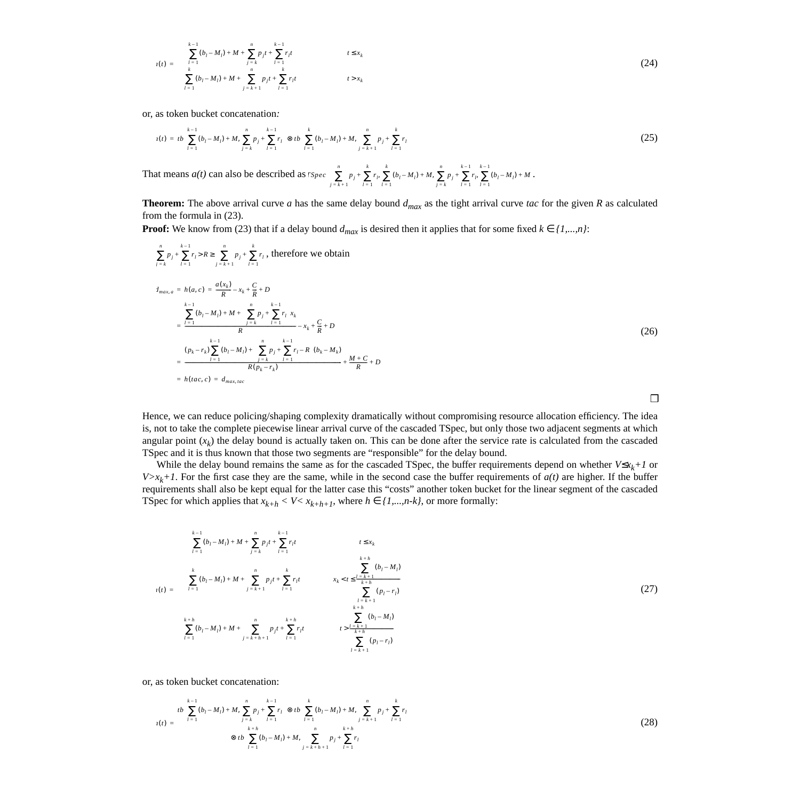$$
t(t) = \begin{cases} \sum_{l=1}^{k-1} (b_l - M_l) + M + \sum_{j=k}^{n} p_j t + \sum_{l=1}^{k-1} r_l t & t \leq x_k \\ \sum_{l=1}^{k} (b_l - M_l) + M + \sum_{j=k+1}^{n} p_j t + \sum_{l=1}^{k} r_l t & t > x_k \end{cases}
$$
(24)

or, as token bucket concatenation*:*

 $\epsilon$ 

$$
u(t) = tb \left( \sum_{l=1}^{k-1} (b_l - M_l) + M, \sum_{j=k}^{n} p_j + \sum_{l=1}^{k-1} r_l \right) \otimes tb \left( \sum_{l=1}^{k} (b_l - M_l) + M, \sum_{j=k+1}^{n} p_j + \sum_{l=1}^{k} r_l \right)
$$
(25)

That means  $a(t)$  can also be described as  $r_{Spec} \left( \sum_{j=k+1}^r p_j + \sum_{l=1}^r r_l \sum_{l=1}^r (b_l - M_l) + M, \sum_{j=k}^r p_j + \sum_{l=1}^r r_l \sum_{l=1}^r (b_l - M_l) + M \right)$ .  $\sum_{i=k+1}^{n} p_j + \sum_{l=1}^{k} r_l$  $+\sum_{l=1}^{k} r_l, \sum_{l=1}^{k} (b_l - M_l) + M$  $\sum_{i=1}^{k} (b_i - M_i) + M, \sum_{j=k}^{n} p_j$  $\sum_{j=k}^{n} p_j + \sum_{l=1}^{k-1} r_l$  $+\sum_{l=1}^{k-1} r_l, \sum_{l=1}^{k-1} (b_l - M_l) + M$  $\left(\sum_{i=k+1}^{n} p_i + \sum_{i=1}^{k} r_i \sum_{i=1}^{k} (b_i - M_i) + M, \sum_{i=k}^{n} p_i + \sum_{i=1}^{k-1} r_i \sum_{i=1}^{k-1} (b_i - M_i) + M\right)$ 

**Theorem:** The above arrival curve *a* has the same delay bound  $d_{max}$  as the tight arrival curve *tac* for the given *R* as calculated from the formula in ([23\).](#page-7-0)

**Proof:** We know from ([23\) th](#page-7-0)at if a delay bound  $d_{max}$  is desired then it applies that for some fixed  $k \in \{1,...,n\}$ :

$$
\sum_{i=k}^{n} p_{j} + \sum_{l=1}^{k-1} r_{l} > R \ge \sum_{j=k+1}^{n} p_{j} + \sum_{l=1}^{k} r_{l}, \text{ therefore we obtain}
$$
\n
$$
d_{max, a} = h(a, c) = \frac{a(x_{k})}{R} - x_{k} + \frac{C}{R} + D
$$
\n
$$
= \frac{\sum_{l=1}^{k-1} (b_{l} - M_{l}) + M + \left(\sum_{j=k}^{n} p_{j} + \sum_{l=1}^{k-1} r_{l}\right) x_{k}}{R} - x_{k} + \frac{C}{R} + D
$$
\n
$$
= \frac{(p_{k} - r_{k}) \sum_{l=1}^{k-1} (b_{l} - M_{l}) + \left(\sum_{j=k}^{n} p_{j} + \sum_{l=1}^{k-1} r_{l} - R\right) (b_{k} - M_{k})}{R(p_{k} - r_{k})} + \frac{M + C}{R} + D
$$
\n
$$
= h(tac, c) = d_{max, tac}
$$
\n(26)

Hence, we can reduce policing/shaping complexity dramatically without compromising resource allocation efficiency. The idea is, not to take the complete piecewise linear arrival curve of the cascaded TSpec, but only those two adjacent segments at which angular point  $(x_k)$  the delay bound is actually taken on. This can be done after the service rate is calculated from the cascaded TSpec and it is thus known that those two segments are "responsible" for the delay bound.

While the delay bound remains the same as for the cascaded TSpec, the buffer requirements depend on whether  $V \le x_k + 1$  or  $V>x_k+1$ . For the first case they are the same, while in the second case the buffer requirements of  $a(t)$  are higher. If the buffer requirements shall also be kept equal for the latter case this "costs" another token bucket for the linear segment of the cascaded TSpec for which applies that  $x_{k+h} < V < x_{k+h+1}$ , where  $h \in \{1,...,n-k\}$ , or more formally:

$$
t(t) = \begin{cases} \sum_{l=1}^{k-1} (b_l - M_l) + M + \sum_{j=k}^{n} p_j t + \sum_{l=1}^{k-1} r_l t & t \leq x_k \\ \sum_{l=1}^{k} (b_l - M_l) + M + \sum_{j=k+1}^{n} p_j t + \sum_{l=1}^{k} r_l t & x_k < t \leq \frac{l=k+1}{k+h} \\ \sum_{l=k+1}^{k} (b_l - M_l) + M + \sum_{j=k+h+1}^{n} p_j t + \sum_{l=1}^{k+h} r_l t & \sum_{l=k+1}^{k+h} (p_l - r_l) \\ \sum_{l=1}^{k+h} (b_l - M_l) + M + \sum_{j=k+h+1}^{n} p_j t + \sum_{l=1}^{k+h} r_l t & t > \frac{l=k+1}{k+h} \\ \sum_{l=k+1}^{k+h} (p_l - r_l) & \sum_{l=k+1}^{k+h} (p_l - r_l) \end{cases}
$$

(27)

❒

or, as token bucket concatenation:

$$
u(t) = \frac{tb\left(\sum_{l=1}^{k-1} (b_l - M_l) + M, \sum_{j=k}^{n} p_j + \sum_{l=1}^{k-1} r_l\right) \otimes tb\left(\sum_{l=1}^{k} (b_l - M_l) + M, \sum_{j=k+1}^{n} p_j + \sum_{l=1}^{k} r_l\right)}{\otimes tb\left(\sum_{l=1}^{k+h} (b_l - M_l) + M, \sum_{j=k+h+1}^{n} p_j + \sum_{l=1}^{k+h} r_l\right)}
$$
(28)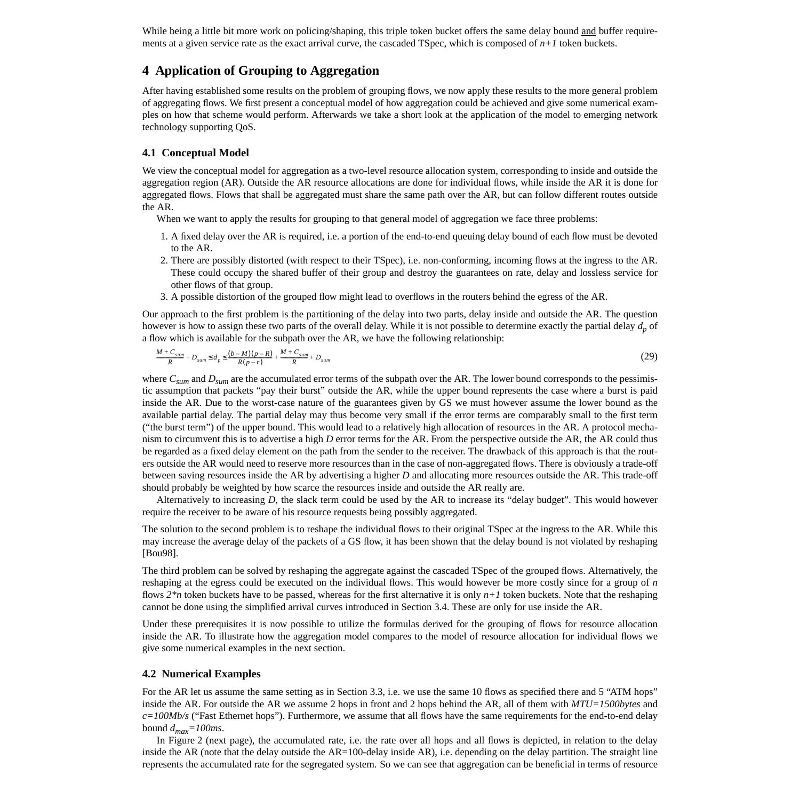<span id="page-9-0"></span>While being a little bit more work on policing/shaping, this triple token bucket offers the same delay bound and buffer requirements at a given service rate as the exact arrival curve, the cascaded TSpec, which is composed of *n+1* token buckets.

### **4 Application of Grouping to Aggregation**

After having established some results on the problem of grouping flows, we now apply these results to the more general problem of aggregating flows. We first present a conceptual model of how aggregation could be achieved and give some numerical examples on how that scheme would perform. Afterwards we take a short look at the application of the model to emerging network technology supporting QoS.

#### **4.1 Conceptual Model**

We view the conceptual model for aggregation as a two-level resource allocation system, corresponding to inside and outside the aggregation region (AR). Outside the AR resource allocations are done for individual flows, while inside the AR it is done for aggregated flows. Flows that shall be aggregated must share the same path over the AR, but can follow different routes outside the AR.

When we want to apply the results for grouping to that general model of aggregation we face three problems:

- 1. A fixed delay over the AR is required, i.e. a portion of the end-to-end queuing delay bound of each flow must be devoted to the AR.
- 2. There are possibly distorted (with respect to their TSpec), i.e. non-conforming, incoming flows at the ingress to the AR. These could occupy the shared buffer of their group and destroy the guarantees on rate, delay and lossless service for other flows of that group.
- 3. A possible distortion of the grouped flow might lead to overflows in the routers behind the egress of the AR.

Our approach to the first problem is the partitioning of the delay into two parts, delay inside and outside the AR. The question however is how to assign these two parts of the overall delay. While it is not possible to determine exactly the partial delay  $d_p$  of a flow which is available for the subpath over the AR, we have the following relationship:

$$
\frac{M + C_{sum}}{R} + D_{sum} \le d_p \le \frac{(b - M)(p - R)}{R(p - r)} + \frac{M + C_{sum}}{R} + D_{sum}
$$
\n(29)

where  $C_{sum}$  and  $D_{sum}$  are the accumulated error terms of the subpath over the AR. The lower bound corresponds to the pessimistic assumption that packets "pay their burst" outside the AR, while the upper bound represents the case where a burst is paid inside the AR. Due to the worst-case nature of the guarantees given by GS we must however assume the lower bound as the available partial delay. The partial delay may thus become very small if the error terms are comparably small to the first term ("the burst term") of the upper bound. This would lead to a relatively high allocation of resources in the AR. A protocol mechanism to circumvent this is to advertise a high *D* error terms for the AR. From the perspective outside the AR, the AR could thus be regarded as a fixed delay element on the path from the sender to the receiver. The drawback of this approach is that the routers outside the AR would need to reserve more resources than in the case of non-aggregated flows. There is obviously a trade-off between saving resources inside the AR by advertising a higher *D* and allocating more resources outside the AR. This trade-off should probably be weighted by how scarce the resources inside and outside the AR really are.

Alternatively to increasing *D*, the slack term could be used by the AR to increase its "delay budget". This would however require the receiver to be aware of his resource requests being possibly aggregated.

The solution to the second problem is to reshape the individual flows to their original TSpec at the ingress to the AR. While this may increase the average delay of the packets of a GS flow, it has been shown that the delay bound is not violated by reshaping [Bou98].

The third problem can be solved by reshaping the aggregate against the cascaded TSpec of the grouped flows. Alternatively, the reshaping at the egress could be executed on the individual flows. This would however be more costly since for a group of *n* flows *2\*n* token buckets have to be passed, whereas for the first alternative it is only *n+1* token buckets. Note that the reshaping cannot be done using the simplified arrival curves introduced in Se[ction 3.4. Th](#page-7-0)ese are only for use inside the AR.

Under these prerequisites it is now possible to utilize the formulas derived for the grouping of flows for resource allocation inside the AR. To illustrate how the aggregation model compares to the model of resource allocation for individual flows we give some numerical examples in the next section.

#### **4.2 Numerical Examples**

For the AR let us assume the same setting as in [Section 3.3](#page-7-0), i.e. we use the same 10 flows as specified there and 5 "ATM hops" inside the AR. For outside the AR we assume 2 hops in front and 2 hops behind the AR, all of them with *MTU=1500bytes* and *c=100Mb/s* ("Fast Ethernet hops"). Furthermore, we assume that all flows have the same requirements for the end-to-end delay bound  $d_{max}=100$ ms.

In [Figure 2](#page-10-0) (next page), the accumulated rate, i.e. the rate over all hops and all flows is depicted, in relation to the delay inside the AR (note that the delay outside the AR=100-delay inside AR), i.e. depending on the delay partition. The straight line represents the accumulated rate for the segregated system. So we can see that aggregation can be beneficial in terms of resource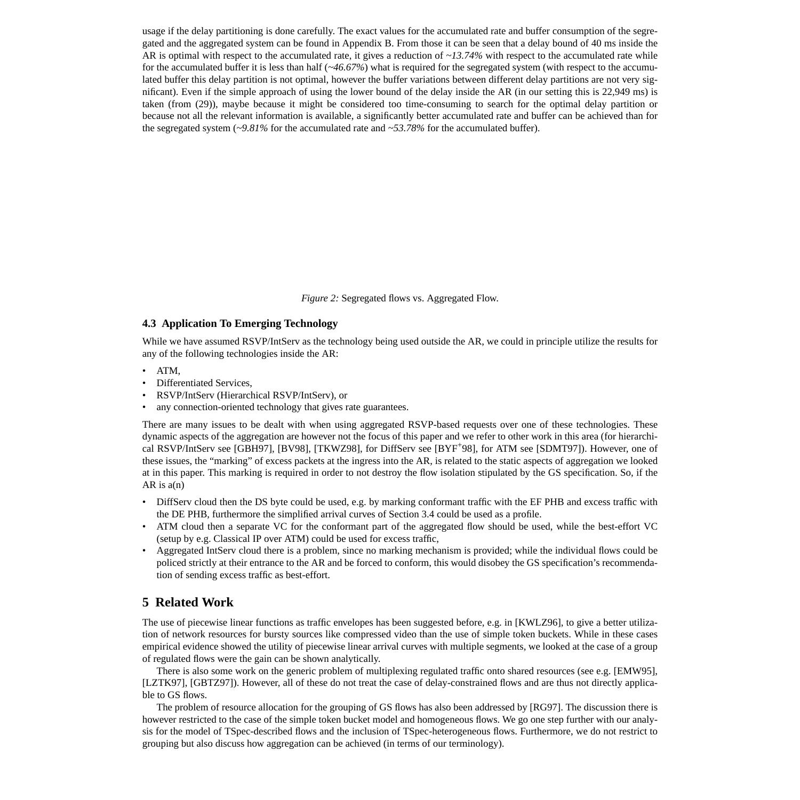<span id="page-10-0"></span>usage if the delay partitioning is done carefully. The exact values for the accumulated rate and buffer consumption of the segregated and the aggregated system can be found in Appendix B. From those it can be seen that a delay bound of 40 ms inside the AR is optimal with respect to the accumulated rate, it gives a reduction of *~13.74%* with respect to the accumulated rate while for the accumulated buffer it is less than half (*~46.67%*) what is required for the segregated system (with respect to the accumulated buffer this delay partition is not optimal, however the buffer variations between different delay partitions are not very significant). Even if the simple approach of using the lower bound of the delay inside the AR (in our setting this is 22,949 ms) is taken (from [\(29\)\)](#page-9-0), maybe because it might be considered too time-consuming to search for the optimal delay partition or because not all the relevant information is available, a significantly better accumulated rate and buffer can be achieved than for the segregated system (*~9.81%* for the accumulated rate and *~53.78%* for the accumulated buffer).

*Figure 2:* Segregated flows vs. Aggregated Flow.

### **4.3 Application To Emerging Technology**

While we have assumed RSVP/IntServ as the technology being used outside the AR, we could in principle utilize the results for any of the following technologies inside the AR:

- ATM,
- Differentiated Services,
- RSVP/IntServ (Hierarchical RSVP/IntServ), or
- any connection-oriented technology that gives rate guarantees.

There are many issues to be dealt with when using aggregated RSVP-based requests over one of these technologies. These dynamic aspects of the aggregation are however not the focus of this paper and we refer to other work in this area (for hierarchical RSVP/IntServ see [GBH97], [BV98], [TKWZ98], for DiffServ see [BYF+98], for ATM see [SDMT97]). However, one of these issues, the "marking" of excess packets at the ingress into the AR, is related to the static aspects of aggregation we looked at in this paper. This marking is required in order to not destroy the flow isolation stipulated by the GS specification. So, if the AR is  $a(n)$ 

- DiffServ cloud then the DS byte could be used, e.g. by marking conformant traffic with the EF PHB and excess traffic with the DE PHB, furthermore the simplified arrival curves of Sec[tion 3.4 coul](#page-7-0)d be used as a profile.
- ATM cloud then a separate VC for the conformant part of the aggregated flow should be used, while the best-effort VC (setup by e.g. Classical IP over ATM) could be used for excess traffic,
- Aggregated IntServ cloud there is a problem, since no marking mechanism is provided; while the individual flows could be policed strictly at their entrance to the AR and be forced to conform, this would disobey the GS specification's recommendation of sending excess traffic as best-effort.

### **5 Related Work**

The use of piecewise linear functions as traffic envelopes has been suggested before, e.g. in [KWLZ96], to give a better utilization of network resources for bursty sources like compressed video than the use of simple token buckets. While in these cases empirical evidence showed the utility of piecewise linear arrival curves with multiple segments, we looked at the case of a group of regulated flows were the gain can be shown analytically.

There is also some work on the generic problem of multiplexing regulated traffic onto shared resources (see e.g. [EMW95], [LZTK97], [GBTZ97]). However, all of these do not treat the case of delay-constrained flows and are thus not directly applicable to GS flows.

The problem of resource allocation for the grouping of GS flows has also been addressed by [RG97]. The discussion there is however restricted to the case of the simple token bucket model and homogeneous flows. We go one step further with our analysis for the model of TSpec-described flows and the inclusion of TSpec-heterogeneous flows. Furthermore, we do not restrict to grouping but also discuss how aggregation can be achieved (in terms of our terminology).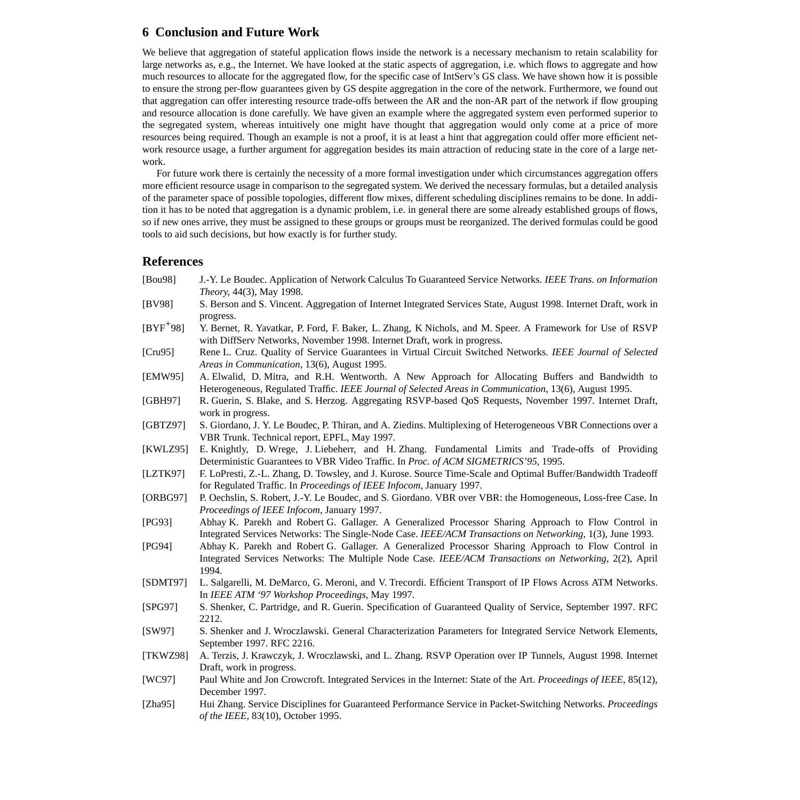## **6 Conclusion and Future Work**

We believe that aggregation of stateful application flows inside the network is a necessary mechanism to retain scalability for large networks as, e.g., the Internet. We have looked at the static aspects of aggregation, i.e. which flows to aggregate and how much resources to allocate for the aggregated flow, for the specific case of IntServ's GS class. We have shown how it is possible to ensure the strong per-flow guarantees given by GS despite aggregation in the core of the network. Furthermore, we found out that aggregation can offer interesting resource trade-offs between the AR and the non-AR part of the network if flow grouping and resource allocation is done carefully. We have given an example where the aggregated system even performed superior to the segregated system, whereas intuitively one might have thought that aggregation would only come at a price of more resources being required. Though an example is not a proof, it is at least a hint that aggregation could offer more efficient network resource usage, a further argument for aggregation besides its main attraction of reducing state in the core of a large network.

For future work there is certainly the necessity of a more formal investigation under which circumstances aggregation offers more efficient resource usage in comparison to the segregated system. We derived the necessary formulas, but a detailed analysis of the parameter space of possible topologies, different flow mixes, different scheduling disciplines remains to be done. In addition it has to be noted that aggregation is a dynamic problem, i.e. in general there are some already established groups of flows, so if new ones arrive, they must be assigned to these groups or groups must be reorganized. The derived formulas could be good tools to aid such decisions, but how exactly is for further study.

### **References**

[Bou98] J.-Y. Le Boudec. Application of Network Calculus To Guaranteed Service Networks. *IEEE Trans. on Information Theory*, 44(3), May 1998.

- [BV98] S. Berson and S. Vincent. Aggregation of Internet Integrated Services State, August 1998. Internet Draft, work in progress.
- [BYF<sup>+</sup>98] Y. Bernet, R. Yavatkar, P. Ford, F. Baker, L. Zhang, K Nichols, and M. Speer. A Framework for Use of RSVP with DiffServ Networks, November 1998. Internet Draft, work in progress.
- [Cru95] Rene L. Cruz. Quality of Service Guarantees in Virtual Circuit Switched Networks. *IEEE Journal of Selected Areas in Communication*, 13(6), August 1995.
- [EMW95] A. Elwalid, D. Mitra, and R.H. Wentworth. A New Approach for Allocating Buffers and Bandwidth to Heterogeneous, Regulated Traffic. *IEEE Journal of Selected Areas in Communication*, 13(6), August 1995.
- [GBH97] R. Guerin, S. Blake, and S. Herzog. Aggregating RSVP-based QoS Requests, November 1997. Internet Draft, work in progress.
- [GBTZ97] S. Giordano, J. Y. Le Boudec, P. Thiran, and A. Ziedins. Multiplexing of Heterogeneous VBR Connections over a VBR Trunk. Technical report, EPFL, May 1997.
- [KWLZ95] E. Knightly, D. Wrege, J. Liebeherr, and H. Zhang. Fundamental Limits and Trade-offs of Providing Deterministic Guarantees to VBR Video Traffic. In *Proc. of ACM SIGMETRICS'95*, 1995.
- [LZTK97] F. LoPresti, Z.-L. Zhang, D. Towsley, and J. Kurose. Source Time-Scale and Optimal Buffer/Bandwidth Tradeoff for Regulated Traffic. In *Proceedings of IEEE Infocom*, January 1997.
- [ORBG97] P. Oechslin, S. Robert, J.-Y. Le Boudec, and S. Giordano. VBR over VBR: the Homogeneous, Loss-free Case. In *Proceedings of IEEE Infocom*, January 1997.
- [PG93] Abhay K. Parekh and Robert G. Gallager. A Generalized Processor Sharing Approach to Flow Control in Integrated Services Networks: The Single-Node Case. *IEEE/ACM Transactions on Networking*, 1(3), June 1993.
- [PG94] Abhay K. Parekh and Robert G. Gallager. A Generalized Processor Sharing Approach to Flow Control in Integrated Services Networks: The Multiple Node Case. *IEEE/ACM Transactions on Networking*, 2(2), April 1994.
- [SDMT97] L. Salgarelli, M. DeMarco, G. Meroni, and V. Trecordi. Efficient Transport of IP Flows Across ATM Networks. In *IEEE ATM '97 Workshop Proceedings*, May 1997.
- [SPG97] S. Shenker, C. Partridge, and R. Guerin. Specification of Guaranteed Quality of Service, September 1997. RFC 2212.
- [SW97] S. Shenker and J. Wroczlawski. General Characterization Parameters for Integrated Service Network Elements, September 1997. RFC 2216.
- [TKWZ98] A. Terzis, J. Krawczyk, J. Wroczlawski, and L. Zhang. RSVP Operation over IP Tunnels, August 1998. Internet Draft, work in progress.
- [WC97] Paul White and Jon Crowcroft. Integrated Services in the Internet: State of the Art. *Proceedings of IEEE*, 85(12), December 1997.
- [Zha95] Hui Zhang. Service Disciplines for Guaranteed Performance Service in Packet-Switching Networks. *Proceedings of the IEEE*, 83(10), October 1995.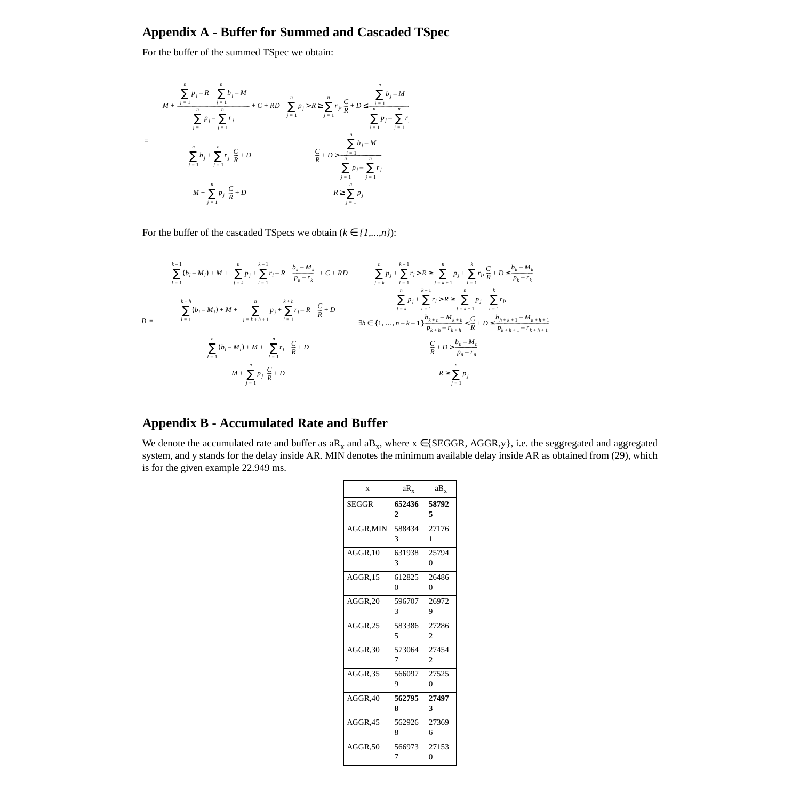## **Appendix A - Buffer for Summed and Cascaded TSpec**

For the buffer of the summed TSpec we obtain:

$$
= \begin{cases}\nM + \frac{\left(\sum_{j=1}^{n} p_j - R\right)\left(\sum_{j=1}^{n} b_j - M\right)}{\sum_{j=1}^{n} p_j - \sum_{j=1}^{n} r_j} + C + RD & \sum_{j=1}^{n} p_j > R \ge \sum_{j=1}^{n} r_j \cdot \frac{C}{R} + D \le \frac{\sum_{j=1}^{n} b_j - M}{\sum_{j=1}^{n} p_j - \sum_{j=1}^{n} r_j} \\
\sum_{j=1}^{n} b_j + \sum_{j=1}^{n} r_j \left(\frac{C}{R} + D\right) & \frac{C}{R} + D > \frac{\sum_{j=1}^{n} b_j - M}{\sum_{j=1}^{n} p_j - \sum_{j=1}^{n} r_j} \\
M + \sum_{j=1}^{n} p_j \left(\frac{C}{R} + D\right) & R \ge \sum_{j=1}^{n} p_j \\
M + \sum_{j=1}^{n} p_j \left(\frac{C}{R} + D\right) & R \ge \sum_{j=1}^{n} p_j\n\end{cases}
$$

For the buffer of the cascaded TSpecs we obtain  $(k \in \{1,...,n\})$ :

$$
B = \begin{cases}\n\sum_{l=1}^{k-1} (b_l - M_l) + M + \left( \sum_{j=k}^{n} p_j + \sum_{l=1}^{k-1} r_l - R \right) \left( \frac{b_k - M_k}{p_k - r_k} \right) + C + RD & \sum_{j=k}^{n} p_j + \sum_{l=1}^{k-1} r_l > R \ge \sum_{j=k+1}^{n} p_j + \sum_{l=1}^{k} r_l > \frac{b_k - M_k}{p_k - r_k} \\
\sum_{l=1}^{k+h} (b_l - M_l) + M + \left( \sum_{j=k+h+1}^{n} p_j + \sum_{l=1}^{k+h} r_l - R \right) \left( \frac{C}{R} + D \right) > \sum_{j=k}^{n} p_j + \sum_{l=1}^{k-1} r_l > R \ge \sum_{j=k+1}^{n} p_j + \sum_{l=1}^{k} r_l \\
\sum_{l=1}^{n} (b_l - M_l) + M + \left( \sum_{l=1}^{n} r_l \right) \left( \frac{C}{R} + D \right) & \exists h \in \{1, \dots, n-k-1\} \frac{b_{k+h} - M_{k+h}}{p_{k+h} - r_{k+h}} < \frac{C}{R} + D \le \frac{b_n + k + 1 - M_{k+h+1}}{p_{k+h+1} - r_{k+h+1}} \\
\sum_{l=1}^{n} (b_l - M_l) + M + \left( \sum_{l=1}^{n} r_l \right) \left( \frac{C}{R} + D \right) & \sum_{j=1}^{n} p_j < \frac{C}{R} + D > \frac{b_n - M_n}{p_n - r_n} \\
M + \sum_{j=1}^{n} p_j \left( \frac{C}{R} + D \right) & R \ge \sum_{j=1}^{n} p_j\n\end{cases}
$$

## **Appendix B - Accumulated Rate and Buffer**

We denote the accumulated rate and buffer as  $aR_x$  and  $aB_x$ , where  $x \in \{SEGGR, AGGR, y\}$ , i.e. the seggregated and aggregated system, and y stands for the delay inside AR. MIN denotes the minimum available delay inside AR as obtained from [\(29\),](#page-9-0) which is for the given example 22.949 ms.

| x                   | $aR_{v}$           | $aB_{v}$          |
|---------------------|--------------------|-------------------|
| <b>SEGGR</b>        | 652436<br>2        | 58792<br>5        |
| AGGR, MIN           | 588434<br>3        | 27176<br>1        |
| AGGR, 10            | 631938<br>3        | 25794<br>0        |
| AGGR <sub>,15</sub> | 612825<br>$\theta$ | 26486<br>0        |
| AGGR,20             | 596707<br>3        | 26972<br>9        |
| AGGR.25             | 583386<br>5        | 27286<br>2        |
| AGGR,30             | 573064             | 27454<br>2        |
| AGGR,35             | 566097<br>9        | 27525<br>$\theta$ |
| AGGR,40             | 562795<br>8        | 27497<br>3        |
| AGGR.45             | 562926<br>8        | 27369<br>6        |
| AGGR,50             | 566973             | 27153<br>0        |